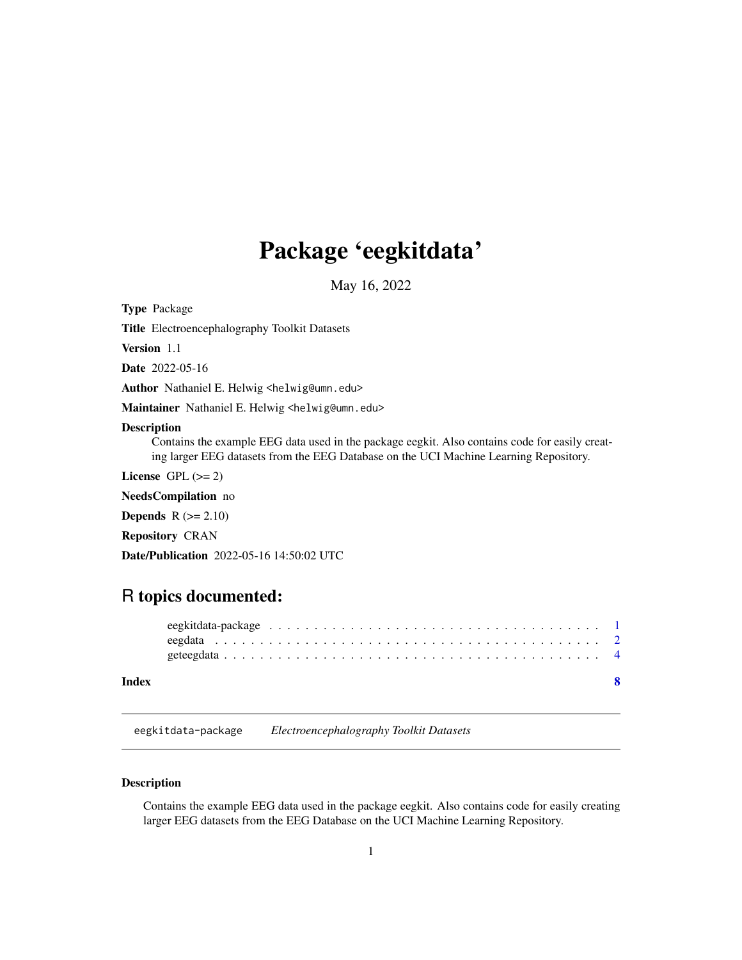## <span id="page-0-0"></span>Package 'eegkitdata'

May 16, 2022

Type Package

Title Electroencephalography Toolkit Datasets

Version 1.1

Date 2022-05-16

Author Nathaniel E. Helwig <helwig@umn.edu>

Maintainer Nathaniel E. Helwig <helwig@umn.edu>

#### Description

Contains the example EEG data used in the package eegkit. Also contains code for easily creating larger EEG datasets from the EEG Database on the UCI Machine Learning Repository.

License GPL  $(>= 2)$ 

NeedsCompilation no

**Depends**  $R$  ( $>= 2.10$ )

Repository CRAN

Date/Publication 2022-05-16 14:50:02 UTC

### R topics documented:

#### **Index** [8](#page-7-0) **8**

eegkitdata-package *Electroencephalography Toolkit Datasets*

#### Description

Contains the example EEG data used in the package eegkit. Also contains code for easily creating larger EEG datasets from the EEG Database on the UCI Machine Learning Repository.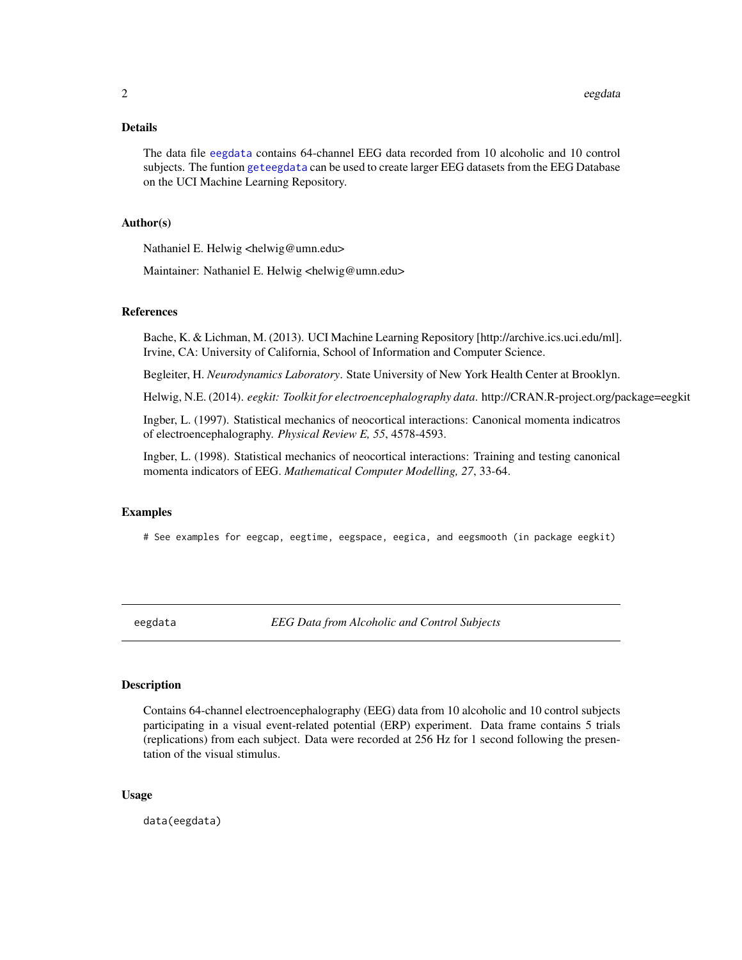#### <span id="page-1-0"></span>Details

The data file [eegdata](#page-1-1) contains 64-channel EEG data recorded from 10 alcoholic and 10 control subjects. The funtion [geteegdata](#page-3-1) can be used to create larger EEG datasets from the EEG Database on the UCI Machine Learning Repository.

#### Author(s)

Nathaniel E. Helwig <helwig@umn.edu>

Maintainer: Nathaniel E. Helwig <helwig@umn.edu>

#### References

Bache, K. & Lichman, M. (2013). UCI Machine Learning Repository [http://archive.ics.uci.edu/ml]. Irvine, CA: University of California, School of Information and Computer Science.

Begleiter, H. *Neurodynamics Laboratory*. State University of New York Health Center at Brooklyn.

Helwig, N.E. (2014). *eegkit: Toolkit for electroencephalography data*. http://CRAN.R-project.org/package=eegkit

Ingber, L. (1997). Statistical mechanics of neocortical interactions: Canonical momenta indicatros of electroencephalography. *Physical Review E, 55*, 4578-4593.

Ingber, L. (1998). Statistical mechanics of neocortical interactions: Training and testing canonical momenta indicators of EEG. *Mathematical Computer Modelling, 27*, 33-64.

#### Examples

# See examples for eegcap, eegtime, eegspace, eegica, and eegsmooth (in package eegkit)

<span id="page-1-1"></span>eegdata *EEG Data from Alcoholic and Control Subjects*

#### Description

Contains 64-channel electroencephalography (EEG) data from 10 alcoholic and 10 control subjects participating in a visual event-related potential (ERP) experiment. Data frame contains 5 trials (replications) from each subject. Data were recorded at 256 Hz for 1 second following the presentation of the visual stimulus.

#### Usage

data(eegdata)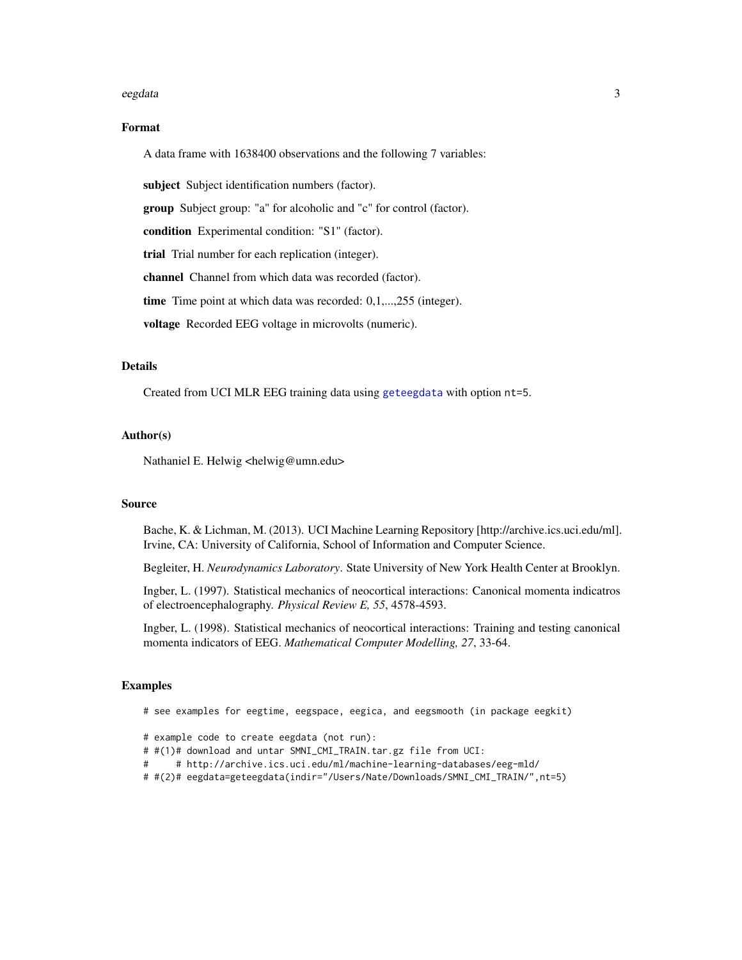#### <span id="page-2-0"></span>eegdata 3

#### Format

A data frame with 1638400 observations and the following 7 variables:

subject Subject identification numbers (factor).

group Subject group: "a" for alcoholic and "c" for control (factor).

condition Experimental condition: "S1" (factor).

trial Trial number for each replication (integer).

channel Channel from which data was recorded (factor).

time Time point at which data was recorded: 0,1,...,255 (integer).

voltage Recorded EEG voltage in microvolts (numeric).

#### **Details**

Created from UCI MLR EEG training data using [geteegdata](#page-3-1) with option nt=5.

#### Author(s)

Nathaniel E. Helwig <helwig@umn.edu>

#### Source

Bache, K. & Lichman, M. (2013). UCI Machine Learning Repository [http://archive.ics.uci.edu/ml]. Irvine, CA: University of California, School of Information and Computer Science.

Begleiter, H. *Neurodynamics Laboratory*. State University of New York Health Center at Brooklyn.

Ingber, L. (1997). Statistical mechanics of neocortical interactions: Canonical momenta indicatros of electroencephalography. *Physical Review E, 55*, 4578-4593.

Ingber, L. (1998). Statistical mechanics of neocortical interactions: Training and testing canonical momenta indicators of EEG. *Mathematical Computer Modelling, 27*, 33-64.

#### Examples

# see examples for eegtime, eegspace, eegica, and eegsmooth (in package eegkit)

- # example code to create eegdata (not run):
- # #(1)# download and untar SMNI\_CMI\_TRAIN.tar.gz file from UCI:
- # # http://archive.ics.uci.edu/ml/machine-learning-databases/eeg-mld/
- # #(2)# eegdata=geteegdata(indir="/Users/Nate/Downloads/SMNI\_CMI\_TRAIN/",nt=5)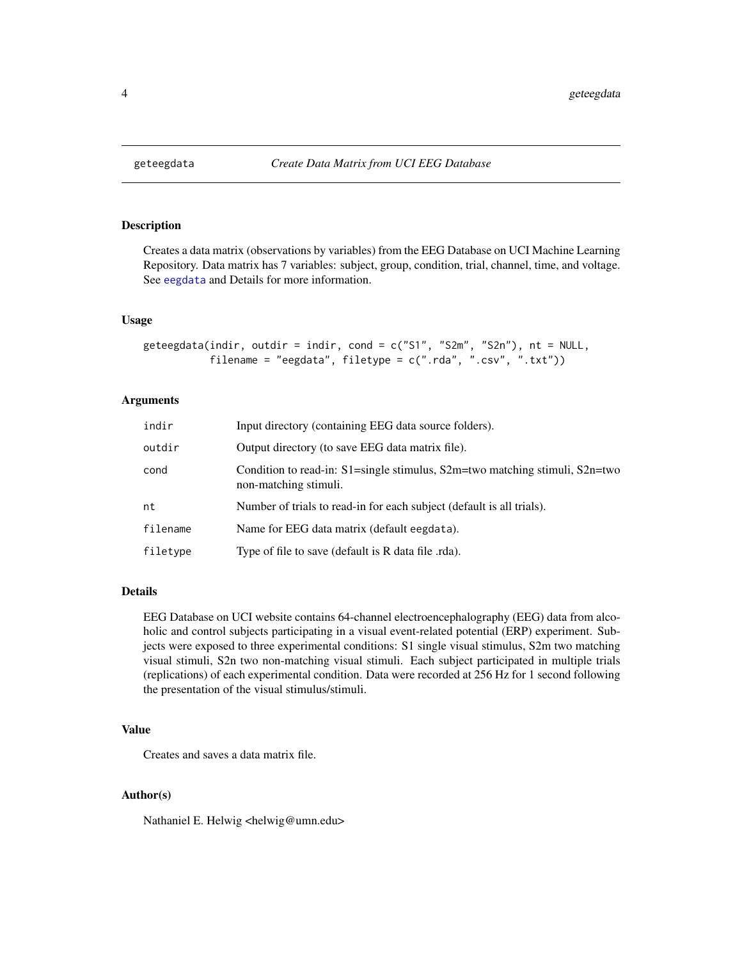<span id="page-3-1"></span><span id="page-3-0"></span>

#### Description

Creates a data matrix (observations by variables) from the EEG Database on UCI Machine Learning Repository. Data matrix has 7 variables: subject, group, condition, trial, channel, time, and voltage. See [eegdata](#page-1-1) and Details for more information.

#### Usage

```
geteegdata(indir, outdir = indir, cond = c("S1", "S2m", "S2n"), nt = NULL,
           filename = "eegdata", filetype = c(".rda", ".csv", ".txt"))
```
#### Arguments

| indir    | Input directory (containing EEG data source folders).                                                         |
|----------|---------------------------------------------------------------------------------------------------------------|
| outdir   | Output directory (to save EEG data matrix file).                                                              |
| cond     | Condition to read-in: $S1$ =single stimulus, $S2m$ =two matching stimuli, $S2n$ =two<br>non-matching stimuli. |
| nt       | Number of trials to read-in for each subject (default is all trials).                                         |
| filename | Name for EEG data matrix (default eegdata).                                                                   |
| filetype | Type of file to save (default is R data file .rda).                                                           |

#### Details

EEG Database on UCI website contains 64-channel electroencephalography (EEG) data from alcoholic and control subjects participating in a visual event-related potential (ERP) experiment. Subjects were exposed to three experimental conditions: S1 single visual stimulus, S2m two matching visual stimuli, S2n two non-matching visual stimuli. Each subject participated in multiple trials (replications) of each experimental condition. Data were recorded at 256 Hz for 1 second following the presentation of the visual stimulus/stimuli.

#### Value

Creates and saves a data matrix file.

#### Author(s)

Nathaniel E. Helwig <helwig@umn.edu>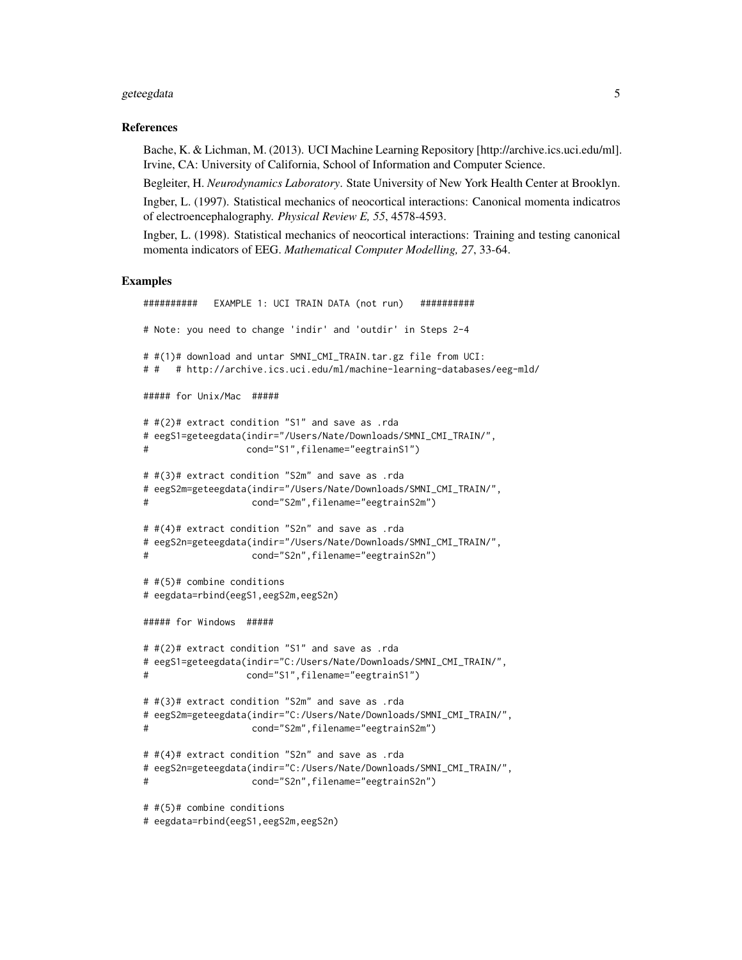#### geteegdata 5 5 km suuri aasta 1992. aasta 1992 kuni ka siir aasta 1992. aasta 1992 kuni ka siir aasta 1992. aasta 1992 kuni ka siir aasta 1992. aasta 1992 kuni ka siir aasta 1992. aasta 1992 kuni ka siir aasta 1992. aasta

#### References

Bache, K. & Lichman, M. (2013). UCI Machine Learning Repository [http://archive.ics.uci.edu/ml]. Irvine, CA: University of California, School of Information and Computer Science.

Begleiter, H. *Neurodynamics Laboratory*. State University of New York Health Center at Brooklyn. Ingber, L. (1997). Statistical mechanics of neocortical interactions: Canonical momenta indicatros of electroencephalography. *Physical Review E, 55*, 4578-4593.

Ingber, L. (1998). Statistical mechanics of neocortical interactions: Training and testing canonical momenta indicators of EEG. *Mathematical Computer Modelling, 27*, 33-64.

#### Examples

```
########## EXAMPLE 1: UCI TRAIN DATA (not run) ##########
# Note: you need to change 'indir' and 'outdir' in Steps 2-4
# #(1)# download and untar SMNI_CMI_TRAIN.tar.gz file from UCI:
# # # http://archive.ics.uci.edu/ml/machine-learning-databases/eeg-mld/
##### for Unix/Mac #####
# #(2)# extract condition "S1" and save as .rda
# eegS1=geteegdata(indir="/Users/Nate/Downloads/SMNI_CMI_TRAIN/",
# cond="S1",filename="eegtrainS1")
# #(3)# extract condition "S2m" and save as .rda
# eegS2m=geteegdata(indir="/Users/Nate/Downloads/SMNI_CMI_TRAIN/",
# cond="S2m",filename="eegtrainS2m")
# #(4)# extract condition "S2n" and save as .rda
# eegS2n=geteegdata(indir="/Users/Nate/Downloads/SMNI_CMI_TRAIN/",
                   cond="S2n",filename="eegtrainS2n")
# #(5)# combine conditions
# eegdata=rbind(eegS1,eegS2m,eegS2n)
##### for Windows #####
# #(2)# extract condition "S1" and save as .rda
# eegS1=geteegdata(indir="C:/Users/Nate/Downloads/SMNI_CMI_TRAIN/",
# cond="S1",filename="eegtrainS1")
# #(3)# extract condition "S2m" and save as .rda
# eegS2m=geteegdata(indir="C:/Users/Nate/Downloads/SMNI_CMI_TRAIN/",
                   cond="S2m",filename="eegtrainS2m")
# #(4)# extract condition "S2n" and save as .rda
# eegS2n=geteegdata(indir="C:/Users/Nate/Downloads/SMNI_CMI_TRAIN/",
# cond="S2n",filename="eegtrainS2n")
# #(5)# combine conditions
# eegdata=rbind(eegS1,eegS2m,eegS2n)
```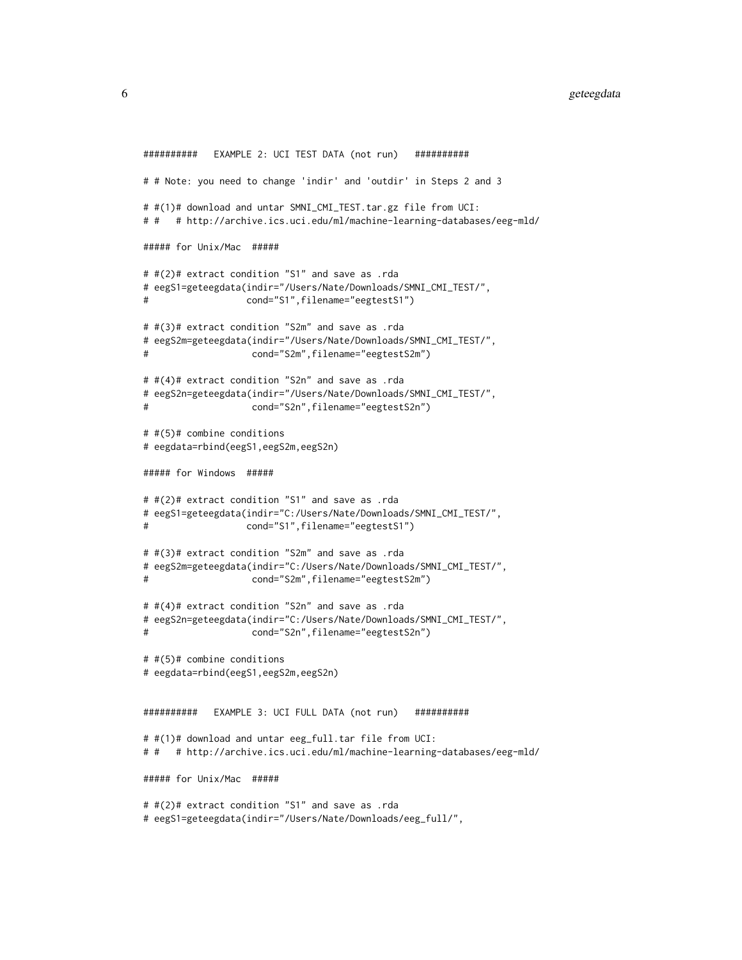```
########## EXAMPLE 2: UCI TEST DATA (not run) ##########
# # Note: you need to change 'indir' and 'outdir' in Steps 2 and 3
# #(1)# download and untar SMNI_CMI_TEST.tar.gz file from UCI:
# # # http://archive.ics.uci.edu/ml/machine-learning-databases/eeg-mld/
##### for Unix/Mac #####
# #(2)# extract condition "S1" and save as .rda
# eegS1=geteegdata(indir="/Users/Nate/Downloads/SMNI_CMI_TEST/",
# cond="S1",filename="eegtestS1")
# #(3)# extract condition "S2m" and save as .rda
# eegS2m=geteegdata(indir="/Users/Nate/Downloads/SMNI_CMI_TEST/",
# cond="S2m",filename="eegtestS2m")
# #(4)# extract condition "S2n" and save as .rda
# eegS2n=geteegdata(indir="/Users/Nate/Downloads/SMNI_CMI_TEST/",
# cond="S2n",filename="eegtestS2n")
# #(5)# combine conditions
# eegdata=rbind(eegS1,eegS2m,eegS2n)
##### for Windows #####
# #(2)# extract condition "S1" and save as .rda
# eegS1=geteegdata(indir="C:/Users/Nate/Downloads/SMNI_CMI_TEST/",
# cond="S1",filename="eegtestS1")
# #(3)# extract condition "S2m" and save as .rda
# eegS2m=geteegdata(indir="C:/Users/Nate/Downloads/SMNI_CMI_TEST/",
                  cond="S2m",filename="eegtestS2m")
# #(4)# extract condition "S2n" and save as .rda
# eegS2n=geteegdata(indir="C:/Users/Nate/Downloads/SMNI_CMI_TEST/",
# cond="S2n",filename="eegtestS2n")
# #(5)# combine conditions
# eegdata=rbind(eegS1,eegS2m,eegS2n)
########## EXAMPLE 3: UCI FULL DATA (not run) ##########
# #(1)# download and untar eeg_full.tar file from UCI:
# # # http://archive.ics.uci.edu/ml/machine-learning-databases/eeg-mld/
##### for Unix/Mac #####
# #(2)# extract condition "S1" and save as .rda
# eegS1=geteegdata(indir="/Users/Nate/Downloads/eeg_full/",
```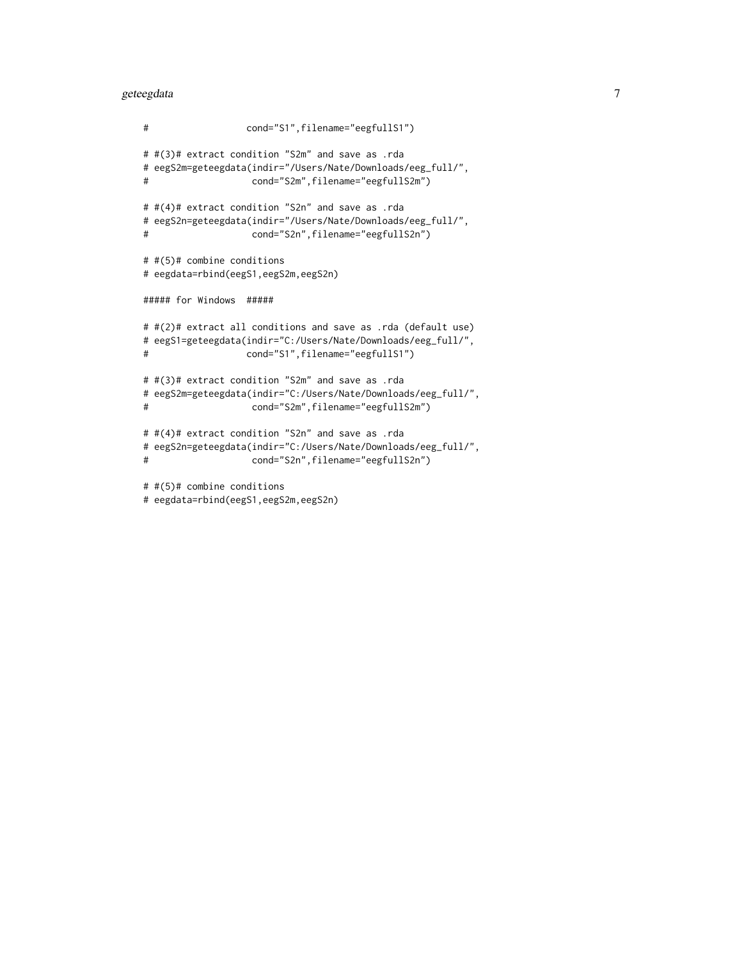#### geteegdata 7

```
# cond="S1",filename="eegfullS1")
# #(3)# extract condition "S2m" and save as .rda
# eegS2m=geteegdata(indir="/Users/Nate/Downloads/eeg_full/",
# cond="S2m",filename="eegfullS2m")
# #(4)# extract condition "S2n" and save as .rda
# eegS2n=geteegdata(indir="/Users/Nate/Downloads/eeg_full/",
# cond="S2n",filename="eegfullS2n")
# #(5)# combine conditions
# eegdata=rbind(eegS1,eegS2m,eegS2n)
##### for Windows #####
# #(2)# extract all conditions and save as .rda (default use)
# eegS1=geteegdata(indir="C:/Users/Nate/Downloads/eeg_full/",
# cond="S1",filename="eegfullS1")
# #(3)# extract condition "S2m" and save as .rda
# eegS2m=geteegdata(indir="C:/Users/Nate/Downloads/eeg_full/",
# cond="S2m",filename="eegfullS2m")
# #(4)# extract condition "S2n" and save as .rda
# eegS2n=geteegdata(indir="C:/Users/Nate/Downloads/eeg_full/",
# cond="S2n",filename="eegfullS2n")
# #(5)# combine conditions
```

```
# eegdata=rbind(eegS1,eegS2m,eegS2n)
```